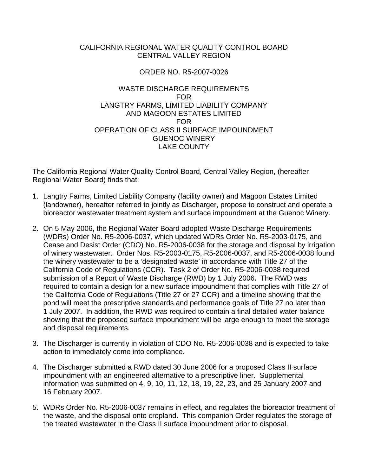## CALIFORNIA REGIONAL WATER QUALITY CONTROL BOARD CENTRAL VALLEY REGION

## ORDER NO. R5-2007-0026

## WASTE DISCHARGE REQUIREMENTS FOR LANGTRY FARMS, LIMITED LIABILITY COMPANY AND MAGOON ESTATES LIMITED FOR OPERATION OF CLASS II SURFACE IMPOUNDMENT GUENOC WINERY LAKE COUNTY

The California Regional Water Quality Control Board, Central Valley Region, (hereafter Regional Water Board) finds that:

- 1. Langtry Farms, Limited Liability Company (facility owner) and Magoon Estates Limited (landowner), hereafter referred to jointly as Discharger, propose to construct and operate a bioreactor wastewater treatment system and surface impoundment at the Guenoc Winery.
- 2. On 5 May 2006, the Regional Water Board adopted Waste Discharge Requirements (WDRs) Order No. R5-2006-0037, which updated WDRs Order No. R5-2003-0175, and Cease and Desist Order (CDO) No. R5-2006-0038 for the storage and disposal by irrigation of winery wastewater. Order Nos. R5-2003-0175, R5-2006-0037, and R5-2006-0038 found the winery wastewater to be a 'designated waste' in accordance with Title 27 of the California Code of Regulations (CCR). Task 2 of Order No. R5-2006-0038 required submission of a Report of Waste Discharge (RWD) by 1 July 2006**.** The RWD was required to contain a design for a new surface impoundment that complies with Title 27 of the California Code of Regulations (Title 27 or 27 CCR) and a timeline showing that the pond will meet the prescriptive standards and performance goals of Title 27 no later than 1 July 2007. In addition, the RWD was required to contain a final detailed water balance showing that the proposed surface impoundment will be large enough to meet the storage and disposal requirements.
- 3. The Discharger is currently in violation of CDO No. R5-2006-0038 and is expected to take action to immediately come into compliance.
- 4. The Discharger submitted a RWD dated 30 June 2006 for a proposed Class II surface impoundment with an engineered alternative to a prescriptive liner. Supplemental information was submitted on 4, 9, 10, 11, 12, 18, 19, 22, 23, and 25 January 2007 and 16 February 2007.
- 5. WDRs Order No. R5-2006-0037 remains in effect, and regulates the bioreactor treatment of the waste, and the disposal onto cropland. This companion Order regulates the storage of the treated wastewater in the Class II surface impoundment prior to disposal.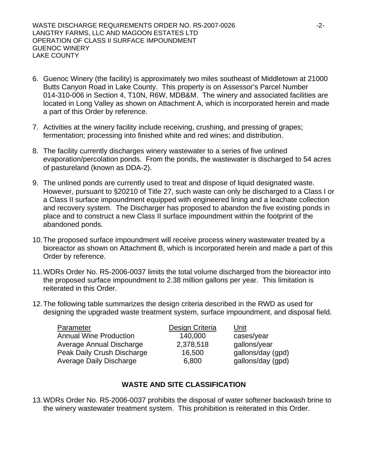- 6. Guenoc Winery (the facility) is approximately two miles southeast of Middletown at 21000 Butts Canyon Road in Lake County. This property is on Assessor's Parcel Number 014-310-006 in Section 4, T10N, R6W, MDB&M. The winery and associated facilities are located in Long Valley as shown on Attachment A, which is incorporated herein and made a part of this Order by reference.
- 7. Activities at the winery facility include receiving, crushing, and pressing of grapes; fermentation; processing into finished white and red wines; and distribution.
- 8. The facility currently discharges winery wastewater to a series of five unlined evaporation/percolation ponds. From the ponds, the wastewater is discharged to 54 acres of pastureland (known as DDA-2).
- 9. The unlined ponds are currently used to treat and dispose of liquid designated waste. However, pursuant to §20210 of Title 27, such waste can only be discharged to a Class I or a Class II surface impoundment equipped with engineered lining and a leachate collection and recovery system. The Discharger has proposed to abandon the five existing ponds in place and to construct a new Class II surface impoundment within the footprint of the abandoned ponds.
- 10. The proposed surface impoundment will receive process winery wastewater treated by a bioreactor as shown on Attachment B, which is incorporated herein and made a part of this Order by reference.
- 11. WDRs Order No. R5-2006-0037 limits the total volume discharged from the bioreactor into the proposed surface impoundment to 2.38 million gallons per year. This limitation is reiterated in this Order.
- 12. The following table summarizes the design criteria described in the RWD as used for designing the upgraded waste treatment system, surface impoundment, and disposal field.

| Parameter                      | Design Criteria | Unit              |
|--------------------------------|-----------------|-------------------|
| <b>Annual Wine Production</b>  | 140,000         | cases/year        |
| Average Annual Discharge       | 2,378,518       | gallons/year      |
| Peak Daily Crush Discharge     | 16,500          | gallons/day (gpd) |
| <b>Average Daily Discharge</b> | 6,800           | gallons/day (gpd) |

# **WASTE AND SITE CLASSIFICATION**

13. WDRs Order No. R5-2006-0037 prohibits the disposal of water softener backwash brine to the winery wastewater treatment system. This prohibition is reiterated in this Order.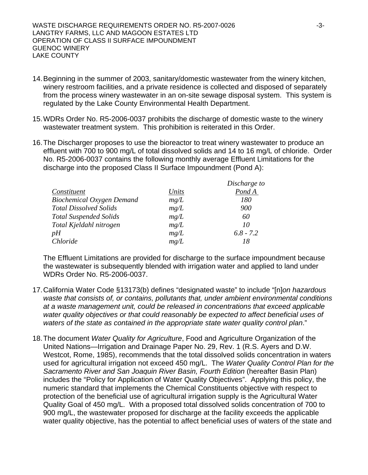- 14. Beginning in the summer of 2003, sanitary/domestic wastewater from the winery kitchen, winery restroom facilities, and a private residence is collected and disposed of separately from the process winery wastewater in an on-site sewage disposal system. This system is regulated by the Lake County Environmental Health Department.
- 15. WDRs Order No. R5-2006-0037 prohibits the discharge of domestic waste to the winery wastewater treatment system. This prohibition is reiterated in this Order.
- 16. The Discharger proposes to use the bioreactor to treat winery wastewater to produce an effluent with 700 to 900 mg/L of total dissolved solids and 14 to 16 mg/L of chloride. Order No. R5-2006-0037 contains the following monthly average Effluent Limitations for the discharge into the proposed Class II Surface Impoundment (Pond A):

|                                  |       | Discharge to |
|----------------------------------|-------|--------------|
| Constituent                      | Units | Pond A       |
| <b>Biochemical Oxygen Demand</b> | mg/L  | 180          |
| <b>Total Dissolved Solids</b>    | mg/L  | 900          |
| <b>Total Suspended Solids</b>    | mg/L  | 60           |
| Total Kjeldahl nitrogen          | mg/L  | 10           |
| pН                               | mg/L  | $6.8 - 7.2$  |
| Chloride                         | mg/L  | 18           |

The Effluent Limitations are provided for discharge to the surface impoundment because the wastewater is subsequently blended with irrigation water and applied to land under WDRs Order No. R5-2006-0037.

- 17. California Water Code §13173(b) defines "designated waste" to include "[n]*on hazardous waste that consists of, or contains, pollutants that, under ambient environmental conditions at a waste management unit, could be released in concentrations that exceed applicable water quality objectives or that could reasonably be expected to affect beneficial uses of waters of the state as contained in the appropriate state water quality control plan*."
- 18. The document *Water Quality for Agriculture*, Food and Agriculture Organization of the United Nations—Irrigation and Drainage Paper No. 29, Rev. 1 (R.S. Ayers and D.W. Westcot, Rome, 1985), recommends that the total dissolved solids concentration in waters used for agricultural irrigation not exceed 450 mg/L. The *Water Quality Control Plan for the Sacramento River and San Joaquin River Basin, Fourth Edition* (hereafter Basin Plan) includes the "Policy for Application of Water Quality Objectives". Applying this policy, the numeric standard that implements the Chemical Constituents objective with respect to protection of the beneficial use of agricultural irrigation supply is the Agricultural Water Quality Goal of 450 mg/L. With a proposed total dissolved solids concentration of 700 to 900 mg/L, the wastewater proposed for discharge at the facility exceeds the applicable water quality objective, has the potential to affect beneficial uses of waters of the state and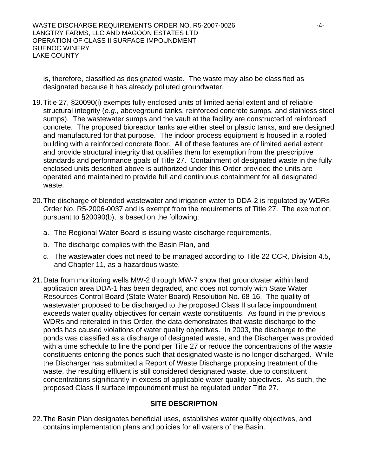is, therefore, classified as designated waste. The waste may also be classified as designated because it has already polluted groundwater.

- 19. Title 27, §20090(i) exempts fully enclosed units of limited aerial extent and of reliable structural integrity (*e.g*., aboveground tanks, reinforced concrete sumps, and stainless steel sumps). The wastewater sumps and the vault at the facility are constructed of reinforced concrete. The proposed bioreactor tanks are either steel or plastic tanks, and are designed and manufactured for that purpose. The indoor process equipment is housed in a roofed building with a reinforced concrete floor. All of these features are of limited aerial extent and provide structural integrity that qualifies them for exemption from the prescriptive standards and performance goals of Title 27. Containment of designated waste in the fully enclosed units described above is authorized under this Order provided the units are operated and maintained to provide full and continuous containment for all designated waste.
- 20. The discharge of blended wastewater and irrigation water to DDA-2 is regulated by WDRs Order No. R5-2006-0037 and is exempt from the requirements of Title 27. The exemption, pursuant to §20090(b), is based on the following:
	- a. The Regional Water Board is issuing waste discharge requirements,
	- b. The discharge complies with the Basin Plan, and
	- c. The wastewater does not need to be managed according to Title 22 CCR, Division 4.5, and Chapter 11, as a hazardous waste.
- 21. Data from monitoring wells MW-2 through MW-7 show that groundwater within land application area DDA-1 has been degraded, and does not comply with State Water Resources Control Board (State Water Board) Resolution No. 68-16. The quality of wastewater proposed to be discharged to the proposed Class II surface impoundment exceeds water quality objectives for certain waste constituents. As found in the previous WDRs and reiterated in this Order, the data demonstrates that waste discharge to the ponds has caused violations of water quality objectives. In 2003, the discharge to the ponds was classified as a discharge of designated waste, and the Discharger was provided with a time schedule to line the pond per Title 27 or reduce the concentrations of the waste constituents entering the ponds such that designated waste is no longer discharged. While the Discharger has submitted a Report of Waste Discharge proposing treatment of the waste, the resulting effluent is still considered designated waste, due to constituent concentrations significantly in excess of applicable water quality objectives. As such, the proposed Class II surface impoundment must be regulated under Title 27.

## **SITE DESCRIPTION**

22. The Basin Plan designates beneficial uses, establishes water quality objectives, and contains implementation plans and policies for all waters of the Basin.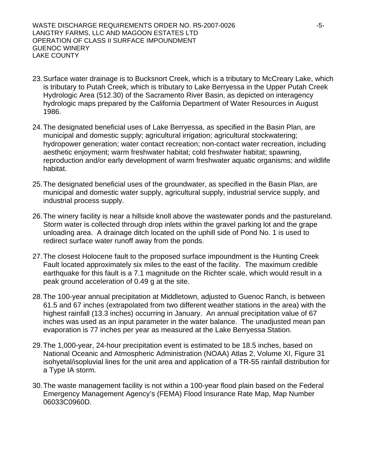- 23. Surface water drainage is to Bucksnort Creek, which is a tributary to McCreary Lake, which is tributary to Putah Creek, which is tributary to Lake Berryessa in the Upper Putah Creek Hydrologic Area (512.30) of the Sacramento River Basin, as depicted on interagency hydrologic maps prepared by the California Department of Water Resources in August 1986.
- 24. The designated beneficial uses of Lake Berryessa, as specified in the Basin Plan, are municipal and domestic supply; agricultural irrigation; agricultural stockwatering; hydropower generation; water contact recreation; non-contact water recreation, including aesthetic enjoyment; warm freshwater habitat; cold freshwater habitat; spawning, reproduction and/or early development of warm freshwater aquatic organisms; and wildlife habitat.
- 25. The designated beneficial uses of the groundwater, as specified in the Basin Plan, are municipal and domestic water supply, agricultural supply, industrial service supply, and industrial process supply.
- 26. The winery facility is near a hillside knoll above the wastewater ponds and the pastureland. Storm water is collected through drop inlets within the gravel parking lot and the grape unloading area. A drainage ditch located on the uphill side of Pond No. 1 is used to redirect surface water runoff away from the ponds.
- 27. The closest Holocene fault to the proposed surface impoundment is the Hunting Creek Fault located approximately six miles to the east of the facility. The maximum credible earthquake for this fault is a 7.1 magnitude on the Richter scale, which would result in a peak ground acceleration of 0.49 g at the site.
- 28. The 100-year annual precipitation at Middletown, adjusted to Guenoc Ranch, is between 61.5 and 67 inches (extrapolated from two different weather stations in the area) with the highest rainfall (13.3 inches) occurring in January. An annual precipitation value of 67 inches was used as an input parameter in the water balance. The unadjusted mean pan evaporation is 77 inches per year as measured at the Lake Berryessa Station.
- 29. The 1,000-year, 24-hour precipitation event is estimated to be 18.5 inches, based on National Oceanic and Atmospheric Administration (NOAA) Atlas 2, Volume XI, Figure 31 isohyetal/isopluvial lines for the unit area and application of a TR-55 rainfall distribution for a Type IA storm.
- 30. The waste management facility is not within a 100-year flood plain based on the Federal Emergency Management Agency's (FEMA) Flood Insurance Rate Map, Map Number 06033C0960D.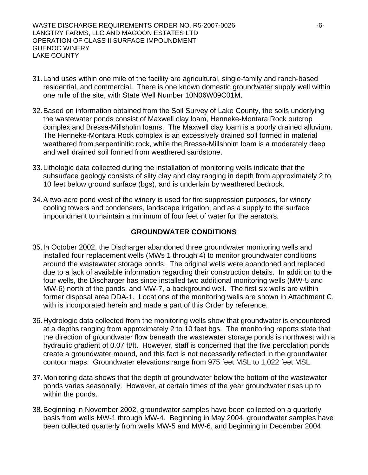- 31. Land uses within one mile of the facility are agricultural, single-family and ranch-based residential, and commercial. There is one known domestic groundwater supply well within one mile of the site, with State Well Number 10N06W09C01M.
- 32. Based on information obtained from the Soil Survey of Lake County, the soils underlying the wastewater ponds consist of Maxwell clay loam, Henneke-Montara Rock outcrop complex and Bressa-Millsholm loams. The Maxwell clay loam is a poorly drained alluvium. The Henneke-Montara Rock complex is an excessively drained soil formed in material weathered from serpentinitic rock, while the Bressa-Millsholm loam is a moderately deep and well drained soil formed from weathered sandstone.
- 33. Lithologic data collected during the installation of monitoring wells indicate that the subsurface geology consists of silty clay and clay ranging in depth from approximately 2 to 10 feet below ground surface (bgs), and is underlain by weathered bedrock.
- 34. A two-acre pond west of the winery is used for fire suppression purposes, for winery cooling towers and condensers, landscape irrigation, and as a supply to the surface impoundment to maintain a minimum of four feet of water for the aerators.

## **GROUNDWATER CONDITIONS**

- 35. In October 2002, the Discharger abandoned three groundwater monitoring wells and installed four replacement wells (MWs 1 through 4) to monitor groundwater conditions around the wastewater storage ponds. The original wells were abandoned and replaced due to a lack of available information regarding their construction details. In addition to the four wells, the Discharger has since installed two additional monitoring wells (MW-5 and MW-6) north of the ponds, and MW-7, a background well. The first six wells are within former disposal area DDA-1. Locations of the monitoring wells are shown in Attachment C, with is incorporated herein and made a part of this Order by reference.
- 36. Hydrologic data collected from the monitoring wells show that groundwater is encountered at a depths ranging from approximately 2 to 10 feet bgs. The monitoring reports state that the direction of groundwater flow beneath the wastewater storage ponds is northwest with a hydraulic gradient of 0.07 ft/ft. However, staff is concerned that the five percolation ponds create a groundwater mound, and this fact is not necessarily reflected in the groundwater contour maps. Groundwater elevations range from 975 feet MSL to 1,022 feet MSL.
- 37. Monitoring data shows that the depth of groundwater below the bottom of the wastewater ponds varies seasonally. However, at certain times of the year groundwater rises up to within the ponds.
- 38. Beginning in November 2002, groundwater samples have been collected on a quarterly basis from wells MW-1 through MW-4. Beginning in May 2004, groundwater samples have been collected quarterly from wells MW-5 and MW-6, and beginning in December 2004,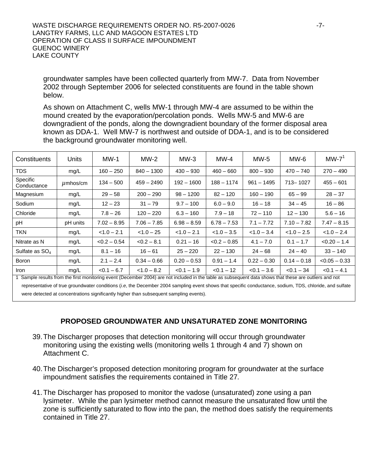groundwater samples have been collected quarterly from MW-7. Data from November 2002 through September 2006 for selected constituents are found in the table shown below.

As shown on Attachment C, wells MW-1 through MW-4 are assumed to be within the mound created by the evaporation/percolation ponds. Wells MW-5 and MW-6 are downgradient of the ponds, along the downgradient boundary of the former disposal area known as DDA-1. Well MW-7 is northwest and outside of DDA-1, and is to be considered the background groundwater monitoring well.

| Constituents                                                                                                                                                                                                                                                                                                                                                                                        | <b>Units</b>                   | $MW-1$         | $MW-2$                          | $MW-3$                                                        | $MW-4$         | $MW-5$                                                                       | $MW-6$                       | $MW-7^1$        |
|-----------------------------------------------------------------------------------------------------------------------------------------------------------------------------------------------------------------------------------------------------------------------------------------------------------------------------------------------------------------------------------------------------|--------------------------------|----------------|---------------------------------|---------------------------------------------------------------|----------------|------------------------------------------------------------------------------|------------------------------|-----------------|
| TDS.                                                                                                                                                                                                                                                                                                                                                                                                | mg/L                           | $160 - 250$    | $840 - 1300$                    | $430 - 930$                                                   | $460 - 660$    | $800 - 930$                                                                  | $470 - 740$                  | $270 - 490$     |
| Specific<br>Conductance                                                                                                                                                                                                                                                                                                                                                                             | $\mu$ mhos/cm                  | $134 - 500$    | $459 - 2490$                    | $192 - 1600$                                                  | $188 - 1174$   | $961 - 1495$                                                                 | 713-1027                     | $455 - 601$     |
| Magnesium                                                                                                                                                                                                                                                                                                                                                                                           | mg/L                           | $29 - 58$      | $200 - 290$                     | $98 - 1200$                                                   | $82 - 120$     | 160 – 190                                                                    | $65 - 99$                    | $28 - 37$       |
| Sodium                                                                                                                                                                                                                                                                                                                                                                                              | mg/L                           | $12 - 23$      | $31 - 79$                       | $9.7 - 100$                                                   | $6.0 - 9.0$    | $16 - 18$                                                                    | $34 - 45$                    | $16 - 86$       |
| Chloride                                                                                                                                                                                                                                                                                                                                                                                            | mg/L                           | $7.8 - 26$     | $120 - 220$                     | $6.3 - 160$                                                   | $7.9 - 18$     | $72 - 110$                                                                   | $12 - 130$                   | $5.6 - 16$      |
| рH                                                                                                                                                                                                                                                                                                                                                                                                  | pH units                       | $7.02 - 8.95$  | $7.06 - 7.85$                   | $6.98 - 8.59$                                                 | $6.78 - 7.53$  | $7.1 - 7.72$                                                                 | $7.10 - 7.82$                | $7.47 - 8.15$   |
| <b>TKN</b>                                                                                                                                                                                                                                                                                                                                                                                          | mg/L                           | $< 1.0 - 2.1$  | $< 1.0 - 25$                    | $< 1.0 - 2.1$                                                 | $< 1.0 - 3.5$  | $< 1.0 - 3.4$                                                                | $< 1.0 - 2.5$                | $< 1.0 - 2.4$   |
| Nitrate as N                                                                                                                                                                                                                                                                                                                                                                                        | mg/L                           | $< 0.2 - 0.54$ | $< 0.2 - 8.1$                   | $0.21 - 16$                                                   | $< 0.2 - 0.85$ | $4.1 - 7.0$                                                                  | $0.1 - 1.7$                  | $< 0.20 - 1.4$  |
| Sulfate as SO <sub>4</sub>                                                                                                                                                                                                                                                                                                                                                                          | mg/L                           | $8.1 - 16$     | $16 - 61$                       | $25 - 220$                                                    | $22 - 130$     | $24 - 68$                                                                    | $24 - 40$                    | $33 - 140$      |
| <b>Boron</b>                                                                                                                                                                                                                                                                                                                                                                                        | mg/L                           | $2.1 - 2.4$    | $0.34 - 0.66$                   | $0.20 - 0.53$                                                 | $0.91 - 1.4$   | $0.22 - 0.30$                                                                | $0.14 - 0.18$                | $< 0.05 - 0.33$ |
| <b>Iron</b><br>$\overline{A}$ $\overline{A}$ $\overline{A}$ $\overline{A}$ $\overline{A}$ $\overline{A}$ $\overline{A}$ $\overline{A}$ $\overline{A}$ $\overline{A}$ $\overline{A}$ $\overline{A}$ $\overline{A}$ $\overline{A}$ $\overline{A}$ $\overline{A}$ $\overline{A}$ $\overline{A}$ $\overline{A}$ $\overline{A}$ $\overline{A}$ $\overline{A}$ $\overline{A}$ $\overline{A}$ $\overline{$ | mg/L<br>add a format the Count | $< 0.1 - 6.7$  | $< 1.0 - 8.2$<br>$1 - 0.0041 -$ | $< 0.1 - 1.9$<br>a contra alcoho di Santia di Lancana della c | $< 0.1 - 12$   | $< 0.1 - 3.6$<br>at all a discussions and the state of a state of the state. | $< 0.1 - 34$<br>and the same | $< 0.1 - 4.1$   |

1 Sample results from the first monitoring event (December 2004) are not included in the table as subsequent data shows that these are outliers and not representative of true groundwater conditions (*i.e*, the December 2004 sampling event shows that specific conductance, sodium, TDS, chloride, and sulfate were detected at concentrations significantly higher than subsequent sampling events).

# **PROPOSED GROUNDWATER AND UNSATURATED ZONE MONITORING**

- 39. The Discharger proposes that detection monitoring will occur through groundwater monitoring using the existing wells (monitoring wells 1 through 4 and 7) shown on Attachment C.
- 40. The Discharger's proposed detection monitoring program for groundwater at the surface impoundment satisfies the requirements contained in Title 27*.*
- 41. The Discharger has proposed to monitor the vadose (unsaturated) zone using a pan lysimeter. While the pan lysimeter method cannot measure the unsaturated flow until the zone is sufficiently saturated to flow into the pan, the method does satisfy the requirements contained in Title 27.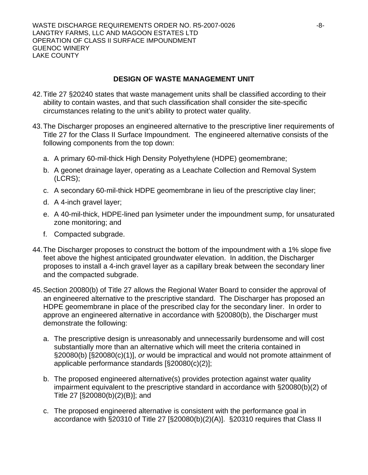# **DESIGN OF WASTE MANAGEMENT UNIT**

- 42. Title 27 §20240 states that waste management units shall be classified according to their ability to contain wastes, and that such classification shall consider the site-specific circumstances relating to the unit's ability to protect water quality.
- 43. The Discharger proposes an engineered alternative to the prescriptive liner requirements of Title 27 for the Class II Surface Impoundment. The engineered alternative consists of the following components from the top down:
	- a. A primary 60-mil-thick High Density Polyethylene (HDPE) geomembrane;
	- b. A geonet drainage layer, operating as a Leachate Collection and Removal System (LCRS);
	- c. A secondary 60-mil-thick HDPE geomembrane in lieu of the prescriptive clay liner;
	- d. A 4-inch gravel layer;
	- e. A 40-mil-thick, HDPE-lined pan lysimeter under the impoundment sump, for unsaturated zone monitoring; and
	- f. Compacted subgrade.
- 44. The Discharger proposes to construct the bottom of the impoundment with a 1% slope five feet above the highest anticipated groundwater elevation. In addition, the Discharger proposes to install a 4-inch gravel layer as a capillary break between the secondary liner and the compacted subgrade.
- <span id="page-7-0"></span>45. Section 20080(b) of Title 27 allows the Regional Water Board to consider the approval of an engineered alternative to the prescriptive standard. The Discharger has proposed an HDPE geomembrane in place of the prescribed clay for the secondary liner. In order to approve an engineered alternative in accordance with §20080(b), the Discharger must demonstrate the following:
	- a. The prescriptive design is unreasonably and unnecessarily burdensome and will cost substantially more than an alternative which will meet the criteria contained in §20080(b) [§20080(c)(1)], *or* would be impractical and would not promote attainment of applicable performance standards [§20080(c)(2)];
	- b. The proposed engineered alternative(s) provides protection against water quality impairment equivalent to the prescriptive standard in accordance with §20080(b)(2) of Title 27 [§20080(b)(2)(B)]; and
	- c. The proposed engineered alternative is consistent with the performance goal in accordance with §20310 of Title 27 [§20080(b)(2)(A)]. §20310 requires that Class II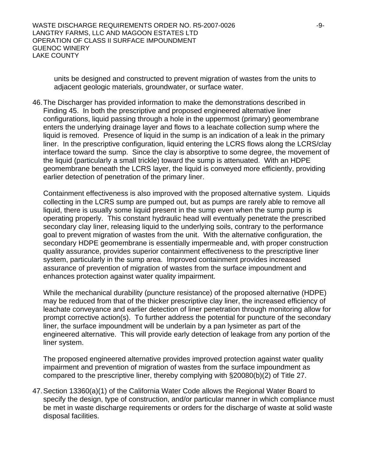units be designed and constructed to prevent migration of wastes from the units to adjacent geologic materials, groundwater, or surface water.

46. The Discharger has provided information to make the demonstrations described in Finding [45.](#page-7-0) In both the prescriptive and proposed engineered alternative liner configurations, liquid passing through a hole in the uppermost (primary) geomembrane enters the underlying drainage layer and flows to a leachate collection sump where the liquid is removed. Presence of liquid in the sump is an indication of a leak in the primary liner. In the prescriptive configuration, liquid entering the LCRS flows along the LCRS/clay interface toward the sump. Since the clay is absorptive to some degree, the movement of the liquid (particularly a small trickle) toward the sump is attenuated. With an HDPE geomembrane beneath the LCRS layer, the liquid is conveyed more efficiently, providing earlier detection of penetration of the primary liner.

Containment effectiveness is also improved with the proposed alternative system. Liquids collecting in the LCRS sump are pumped out, but as pumps are rarely able to remove all liquid, there is usually some liquid present in the sump even when the sump pump is operating properly. This constant hydraulic head will eventually penetrate the prescribed secondary clay liner, releasing liquid to the underlying soils, contrary to the performance goal to prevent migration of wastes from the unit. With the alternative configuration, the secondary HDPE geomembrane is essentially impermeable and, with proper construction quality assurance, provides superior containment effectiveness to the prescriptive liner system, particularly in the sump area. Improved containment provides increased assurance of prevention of migration of wastes from the surface impoundment and enhances protection against water quality impairment.

While the mechanical durability (puncture resistance) of the proposed alternative (HDPE) may be reduced from that of the thicker prescriptive clay liner, the increased efficiency of leachate conveyance and earlier detection of liner penetration through monitoring allow for prompt corrective action(s). To further address the potential for puncture of the secondary liner, the surface impoundment will be underlain by a pan lysimeter as part of the engineered alternative. This will provide early detection of leakage from any portion of the liner system.

The proposed engineered alternative provides improved protection against water quality impairment and prevention of migration of wastes from the surface impoundment as compared to the prescriptive liner, thereby complying with §20080(b)(2) of Title 27.

47. Section 13360(a)(1) of the California Water Code allows the Regional Water Board to specify the design, type of construction, and/or particular manner in which compliance must be met in waste discharge requirements or orders for the discharge of waste at solid waste disposal facilities.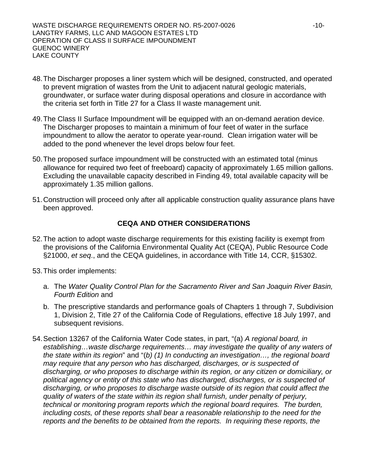- 48. The Discharger proposes a liner system which will be designed, constructed, and operated to prevent migration of wastes from the Unit to adjacent natural geologic materials, groundwater, or surface water during disposal operations and closure in accordance with the criteria set forth in Title 27 for a Class II waste management unit.
- <span id="page-9-0"></span>49. The Class II Surface Impoundment will be equipped with an on-demand aeration device. The Discharger proposes to maintain a minimum of four feet of water in the surface impoundment to allow the aerator to operate year-round. Clean irrigation water will be added to the pond whenever the level drops below four feet.
- 50. The proposed surface impoundment will be constructed with an estimated total (minus allowance for required two feet of freeboard) capacity of approximately 1.65 million gallons. Excluding the unavailable capacity described in Finding [49](#page-9-0), total available capacity will be approximately 1.35 million gallons.
- 51. Construction will proceed only after all applicable construction quality assurance plans have been approved.

# **CEQA AND OTHER CONSIDERATIONS**

- 52. The action to adopt waste discharge requirements for this existing facility is exempt from the provisions of the California Environmental Quality Act (CEQA), Public Resource Code §21000, *et seq*., and the CEQA guidelines, in accordance with Title 14, CCR, §15302.
- 53. This order implements:
	- a. The *Water Quality Control Plan for the Sacramento River and San Joaquin River Basin, Fourth Edition* and
	- b. The prescriptive standards and performance goals of Chapters 1 through 7, Subdivision 1, Division 2, Title 27 of the California Code of Regulations, effective 18 July 1997, and subsequent revisions.
- 54. Section 13267 of the California Water Code states, in part, "(a) *A regional board, in establishing…waste discharge requirements… may investigate the quality of any waters of the state within its region*" and "(*b) (1) In conducting an investigation…, the regional board may require that any person who has discharged, discharges, or is suspected of discharging, or who proposes to discharge within its region, or any citizen or domiciliary, or political agency or entity of this state who has discharged, discharges, or is suspected of discharging, or who proposes to discharge waste outside of its region that could affect the quality of waters of the state within its region shall furnish, under penalty of perjury, technical or monitoring program reports which the regional board requires. The burden, including costs, of these reports shall bear a reasonable relationship to the need for the reports and the benefits to be obtained from the reports. In requiring these reports, the*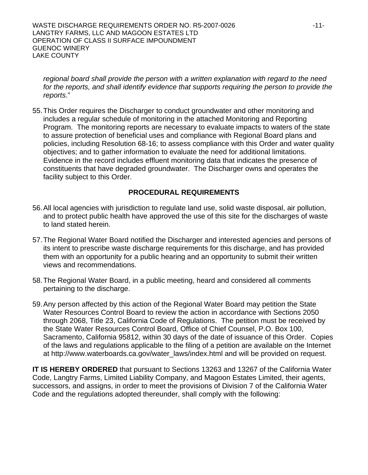*regional board shall provide the person with a written explanation with regard to the need*  for the reports, and shall identify evidence that supports requiring the person to provide the *reports*."

55. This Order requires the Discharger to conduct groundwater and other monitoring and includes a regular schedule of monitoring in the attached Monitoring and Reporting Program. The monitoring reports are necessary to evaluate impacts to waters of the state to assure protection of beneficial uses and compliance with Regional Board plans and policies, including Resolution 68-16; to assess compliance with this Order and water quality objectives; and to gather information to evaluate the need for additional limitations. Evidence in the record includes effluent monitoring data that indicates the presence of constituents that have degraded groundwater. The Discharger owns and operates the facility subject to this Order.

## **PROCEDURAL REQUIREMENTS**

- 56. All local agencies with jurisdiction to regulate land use, solid waste disposal, air pollution, and to protect public health have approved the use of this site for the discharges of waste to land stated herein.
- 57. The Regional Water Board notified the Discharger and interested agencies and persons of its intent to prescribe waste discharge requirements for this discharge, and has provided them with an opportunity for a public hearing and an opportunity to submit their written views and recommendations.
- 58. The Regional Water Board, in a public meeting, heard and considered all comments pertaining to the discharge.
- 59. Any person affected by this action of the Regional Water Board may petition the State Water Resources Control Board to review the action in accordance with Sections 2050 through 2068, Title 23, California Code of Regulations. The petition must be received by the State Water Resources Control Board, Office of Chief Counsel, P.O. Box 100, Sacramento, California 95812, within 30 days of the date of issuance of this Order. Copies of the laws and regulations applicable to the filing of a petition are available on the Internet at http://www.waterboards.ca.gov/water\_laws/index.html and will be provided on request.

**IT IS HEREBY ORDERED** that pursuant to Sections 13263 and 13267 of the California Water Code, Langtry Farms, Limited Liability Company, and Magoon Estates Limited, their agents, successors, and assigns, in order to meet the provisions of Division 7 of the California Water Code and the regulations adopted thereunder, shall comply with the following: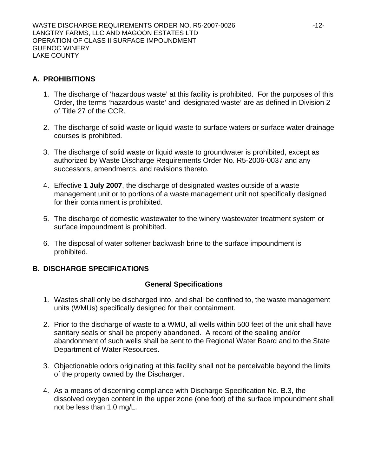# **A. PROHIBITIONS**

- 1. The discharge of 'hazardous waste' at this facility is prohibited. For the purposes of this Order, the terms 'hazardous waste' and 'designated waste' are as defined in Division 2 of Title 27 of the CCR.
- 2. The discharge of solid waste or liquid waste to surface waters or surface water drainage courses is prohibited.
- 3. The discharge of solid waste or liquid waste to groundwater is prohibited, except as authorized by Waste Discharge Requirements Order No. R5-2006-0037 and any successors, amendments, and revisions thereto.
- 4. Effective **1 July 2007**, the discharge of designated wastes outside of a waste management unit or to portions of a waste management unit not specifically designed for their containment is prohibited.
- 5. The discharge of domestic wastewater to the winery wastewater treatment system or surface impoundment is prohibited.
- 6. The disposal of water softener backwash brine to the surface impoundment is prohibited.

## <span id="page-11-0"></span>**B. DISCHARGE SPECIFICATIONS**

## **General Specifications**

- 1. Wastes shall only be discharged into, and shall be confined to, the waste management units (WMUs) specifically designed for their containment.
- 2. Prior to the discharge of waste to a WMU, all wells within 500 feet of the unit shall have sanitary seals or shall be properly abandoned. A record of the sealing and/or abandonment of such wells shall be sent to the Regional Water Board and to the State Department of Water Resources.
- <span id="page-11-1"></span>3. Objectionable odors originating at this facility shall not be perceivable beyond the limits of the property owned by the Discharger.
- 4. As a means of discerning compliance with Discharge Specification No. [B](#page-11-0).[3](#page-11-1), the dissolved oxygen content in the upper zone (one foot) of the surface impoundment shall not be less than 1.0 mg/L.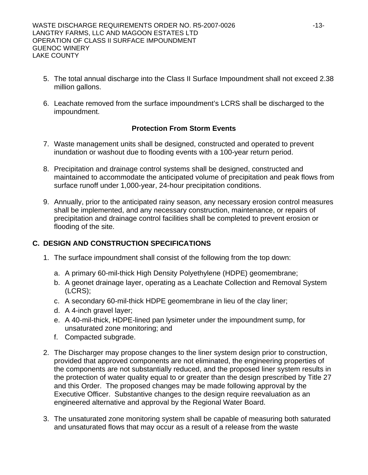- 5. The total annual discharge into the Class II Surface Impoundment shall not exceed 2.38 million gallons.
- 6. Leachate removed from the surface impoundment's LCRS shall be discharged to the impoundment.

# **Protection From Storm Events**

- 7. Waste management units shall be designed, constructed and operated to prevent inundation or washout due to flooding events with a 100-year return period.
- 8. Precipitation and drainage control systems shall be designed, constructed and maintained to accommodate the anticipated volume of precipitation and peak flows from surface runoff under 1,000-year, 24-hour precipitation conditions.
- 9. Annually, prior to the anticipated rainy season, any necessary erosion control measures shall be implemented, and any necessary construction, maintenance, or repairs of precipitation and drainage control facilities shall be completed to prevent erosion or flooding of the site.

# **C. DESIGN AND CONSTRUCTION SPECIFICATIONS**

- 1. The surface impoundment shall consist of the following from the top down:
	- a. A primary 60-mil-thick High Density Polyethylene (HDPE) geomembrane;
	- b. A geonet drainage layer, operating as a Leachate Collection and Removal System (LCRS);
	- c. A secondary 60-mil-thick HDPE geomembrane in lieu of the clay liner;
	- d. A 4-inch gravel layer;
	- e. A 40-mil-thick, HDPE-lined pan lysimeter under the impoundment sump, for unsaturated zone monitoring; and
	- f. Compacted subgrade.
- 2. The Discharger may propose changes to the liner system design prior to construction, provided that approved components are not eliminated, the engineering properties of the components are not substantially reduced, and the proposed liner system results in the protection of water quality equal to or greater than the design prescribed by Title 27 and this Order. The proposed changes may be made following approval by the Executive Officer. Substantive changes to the design require reevaluation as an engineered alternative and approval by the Regional Water Board.
- 3. The unsaturated zone monitoring system shall be capable of measuring both saturated and unsaturated flows that may occur as a result of a release from the waste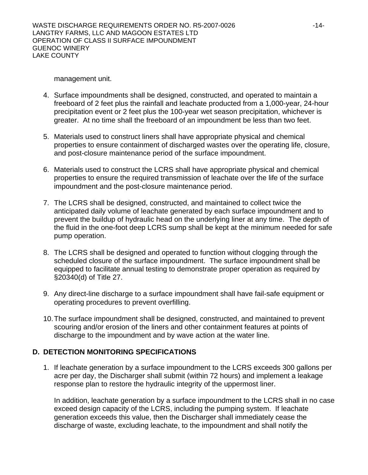management unit.

- 4. Surface impoundments shall be designed, constructed, and operated to maintain a freeboard of 2 feet plus the rainfall and leachate producted from a 1,000-year, 24-hour precipitation event or 2 feet plus the 100-year wet season precipitation, whichever is greater. At no time shall the freeboard of an impoundment be less than two feet.
- 5. Materials used to construct liners shall have appropriate physical and chemical properties to ensure containment of discharged wastes over the operating life, closure, and post-closure maintenance period of the surface impoundment.
- 6. Materials used to construct the LCRS shall have appropriate physical and chemical properties to ensure the required transmission of leachate over the life of the surface impoundment and the post-closure maintenance period.
- 7. The LCRS shall be designed, constructed, and maintained to collect twice the anticipated daily volume of leachate generated by each surface impoundment and to prevent the buildup of hydraulic head on the underlying liner at any time. The depth of the fluid in the one-foot deep LCRS sump shall be kept at the minimum needed for safe pump operation.
- 8. The LCRS shall be designed and operated to function without clogging through the scheduled closure of the surface impoundment. The surface impoundment shall be equipped to facilitate annual testing to demonstrate proper operation as required by §20340(d) of Title 27.
- 9. Any direct-line discharge to a surface impoundment shall have fail-safe equipment or operating procedures to prevent overfilling.
- 10. The surface impoundment shall be designed, constructed, and maintained to prevent scouring and/or erosion of the liners and other containment features at points of discharge to the impoundment and by wave action at the water line.

# **D. DETECTION MONITORING SPECIFICATIONS**

1. If leachate generation by a surface impoundment to the LCRS exceeds 300 gallons per acre per day, the Discharger shall submit (within 72 hours) and implement a leakage response plan to restore the hydraulic integrity of the uppermost liner.

In addition, leachate generation by a surface impoundment to the LCRS shall in no case exceed design capacity of the LCRS, including the pumping system. If leachate generation exceeds this value, then the Discharger shall immediately cease the discharge of waste, excluding leachate, to the impoundment and shall notify the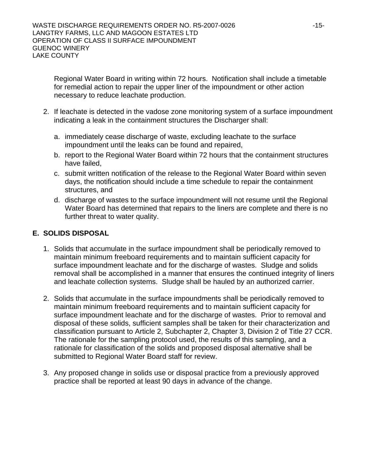Regional Water Board in writing within 72 hours. Notification shall include a timetable for remedial action to repair the upper liner of the impoundment or other action necessary to reduce leachate production.

- 2. If leachate is detected in the vadose zone monitoring system of a surface impoundment indicating a leak in the containment structures the Discharger shall:
	- a. immediately cease discharge of waste, excluding leachate to the surface impoundment until the leaks can be found and repaired,
	- b. report to the Regional Water Board within 72 hours that the containment structures have failed,
	- c. submit written notification of the release to the Regional Water Board within seven days, the notification should include a time schedule to repair the containment structures, and
	- d. discharge of wastes to the surface impoundment will not resume until the Regional Water Board has determined that repairs to the liners are complete and there is no further threat to water quality.

## **E. SOLIDS DISPOSAL**

- 1. Solids that accumulate in the surface impoundment shall be periodically removed to maintain minimum freeboard requirements and to maintain sufficient capacity for surface impoundment leachate and for the discharge of wastes. Sludge and solids removal shall be accomplished in a manner that ensures the continued integrity of liners and leachate collection systems. Sludge shall be hauled by an authorized carrier.
- 2. Solids that accumulate in the surface impoundments shall be periodically removed to maintain minimum freeboard requirements and to maintain sufficient capacity for surface impoundment leachate and for the discharge of wastes. Prior to removal and disposal of these solids, sufficient samples shall be taken for their characterization and classification pursuant to Article 2, Subchapter 2, Chapter 3, Division 2 of Title 27 CCR. The rationale for the sampling protocol used, the results of this sampling, and a rationale for classification of the solids and proposed disposal alternative shall be submitted to Regional Water Board staff for review.
- 3. Any proposed change in solids use or disposal practice from a previously approved practice shall be reported at least 90 days in advance of the change.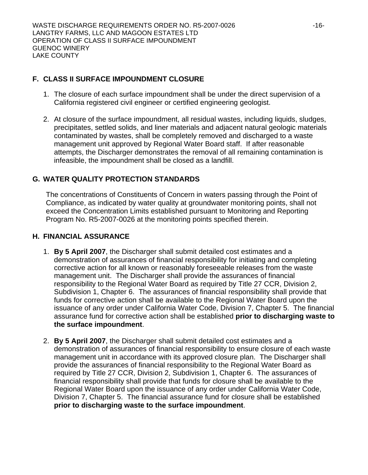# **F. CLASS II SURFACE IMPOUNDMENT CLOSURE**

- 1. The closure of each surface impoundment shall be under the direct supervision of a California registered civil engineer or certified engineering geologist.
- <span id="page-15-2"></span>2. At closure of the surface impoundment, all residual wastes, including liquids, sludges, precipitates, settled solids, and liner materials and adjacent natural geologic materials contaminated by wastes, shall be completely removed and discharged to a waste management unit approved by Regional Water Board staff. If after reasonable attempts, the Discharger demonstrates the removal of all remaining contamination is infeasible, the impoundment shall be closed as a landfill.

# **G. WATER QUALITY PROTECTION STANDARDS**

The concentrations of Constituents of Concern in waters passing through the Point of Compliance, as indicated by water quality at groundwater monitoring points, shall not exceed the Concentration Limits established pursuant to Monitoring and Reporting Program No. R5-2007-0026 at the monitoring points specified therein.

## <span id="page-15-1"></span><span id="page-15-0"></span>**H. FINANCIAL ASSURANCE**

- 1. **By 5 April 2007**, the Discharger shall submit detailed cost estimates and a demonstration of assurances of financial responsibility for initiating and completing corrective action for all known or reasonably foreseeable releases from the waste management unit. The Discharger shall provide the assurances of financial responsibility to the Regional Water Board as required by Title 27 CCR, Division 2, Subdivision 1, Chapter 6. The assurances of financial responsibility shall provide that funds for corrective action shall be available to the Regional Water Board upon the issuance of any order under California Water Code, Division 7, Chapter 5. The financial assurance fund for corrective action shall be established **prior to discharging waste to the surface impoundment**.
- 2. **By 5 April 2007**, the Discharger shall submit detailed cost estimates and a demonstration of assurances of financial responsibility to ensure closure of each waste management unit in accordance with its approved closure plan. The Discharger shall provide the assurances of financial responsibility to the Regional Water Board as required by Title 27 CCR, Division 2, Subdivision 1, Chapter 6. The assurances of financial responsibility shall provide that funds for closure shall be available to the Regional Water Board upon the issuance of any order under California Water Code, Division 7, Chapter 5. The financial assurance fund for closure shall be established **prior to discharging waste to the surface impoundment**.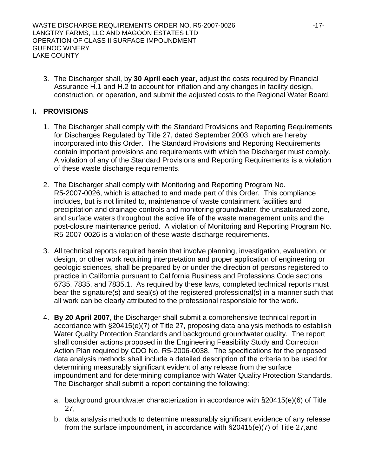3. The Discharger shall, by **30 April each year**, adjust the costs required by Financial Assurance [H.](#page-15-0)[1](#page-15-1) and [H](#page-15-0).2 to account for inflation and any changes in facility design, construction, or operation, and submit the adjusted costs to the Regional Water Board.

## <span id="page-16-0"></span>**I. PROVISIONS**

- 1. The Discharger shall comply with the Standard Provisions and Reporting Requirements for Discharges Regulated by Title 27, dated September 2003, which are hereby incorporated into this Order. The Standard Provisions and Reporting Requirements contain important provisions and requirements with which the Discharger must comply. A violation of any of the Standard Provisions and Reporting Requirements is a violation of these waste discharge requirements.
- 2. The Discharger shall comply with Monitoring and Reporting Program No. R5-2007-0026, which is attached to and made part of this Order. This compliance includes, but is not limited to, maintenance of waste containment facilities and precipitation and drainage controls and monitoring groundwater, the unsaturated zone, and surface waters throughout the active life of the waste management units and the post-closure maintenance period. A violation of Monitoring and Reporting Program No. R5-2007-0026 is a violation of these waste discharge requirements.
- <span id="page-16-1"></span>3. All technical reports required herein that involve planning, investigation, evaluation, or design, or other work requiring interpretation and proper application of engineering or geologic sciences, shall be prepared by or under the direction of persons registered to practice in California pursuant to California Business and Professions Code sections 6735, 7835, and 7835.1. As required by these laws, completed technical reports must bear the signature(s) and seal(s) of the registered professional(s) in a manner such that all work can be clearly attributed to the professional responsible for the work.
- 4. **By 20 April 2007**, the Discharger shall submit a comprehensive technical report in accordance with §20415(e)(7) of Title 27, proposing data analysis methods to establish Water Quality Protection Standards and background groundwater quality. The report shall consider actions proposed in the Engineering Feasibility Study and Correction Action Plan required by CDO No. R5-2006-0038. The specifications for the proposed data analysis methods shall include a detailed description of the criteria to be used for determining measurably significant evident of any release from the surface impoundment and for determining compliance with Water Quality Protection Standards. The Discharger shall submit a report containing the following:
	- a. background groundwater characterization in accordance with §20415(e)(6) of Title 27,
	- b. data analysis methods to determine measurably significant evidence of any release from the surface impoundment, in accordance with §20415(e)(7) of Title 27,and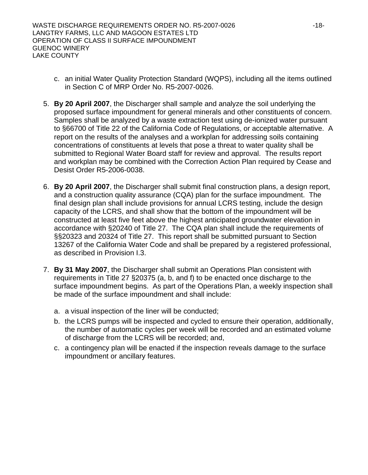- c. an initial Water Quality Protection Standard (WQPS), including all the items outlined in Section C of MRP Order No. R5-2007-0026.
- 5. **By 20 April 2007**, the Discharger shall sample and analyze the soil underlying the proposed surface impoundment for general minerals and other constituents of concern. Samples shall be analyzed by a waste extraction test using de-ionized water pursuant to §66700 of Title 22 of the California Code of Regulations, or acceptable alternative. A report on the results of the analyses and a workplan for addressing soils containing concentrations of constituents at levels that pose a threat to water quality shall be submitted to Regional Water Board staff for review and approval. The results report and workplan may be combined with the Correction Action Plan required by Cease and Desist Order R5-2006-0038.
- 6. **By 20 April 2007**, the Discharger shall submit final construction plans, a design report, and a construction quality assurance (CQA) plan for the surface impoundment. The final design plan shall include provisions for annual LCRS testing, include the design capacity of the LCRS, and shall show that the bottom of the impoundment will be constructed at least five feet above the highest anticipated groundwater elevation in accordance with §20240 of Title 27. The CQA plan shall include the requirements of §§20323 and 20324 of Title 27. This report shall be submitted pursuant to Section 13267 of the California Water Code and shall be prepared by a registered professional, as described in Provision [I](#page-16-0)[.3](#page-16-1).
- 7. **By 31 May 2007**, the Discharger shall submit an Operations Plan consistent with requirements in Title 27 §20375 (a, b, and f) to be enacted once discharge to the surface impoundment begins. As part of the Operations Plan, a weekly inspection shall be made of the surface impoundment and shall include:
	- a. a visual inspection of the liner will be conducted;
	- b. the LCRS pumps will be inspected and cycled to ensure their operation, additionally, the number of automatic cycles per week will be recorded and an estimated volume of discharge from the LCRS will be recorded; and,
	- c. a contingency plan will be enacted if the inspection reveals damage to the surface impoundment or ancillary features.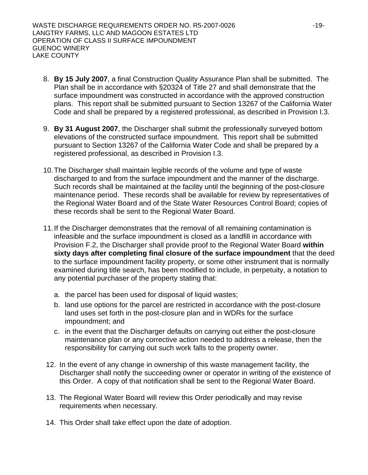- 8. **By 15 July 2007**, a final Construction Quality Assurance Plan shall be submitted. The Plan shall be in accordance with §20324 of Title 27 and shall demonstrate that the surface impoundment was constructed in accordance with the approved construction plans. This report shall be submitted pursuant to Section 13267 of the California Water Code and shall be prepared by a registered professional, as described in Provision [I](#page-16-0).[3](#page-16-1).
- 9. **By 31 August 2007**, the Discharger shall submit the professionally surveyed bottom elevations of the constructed surface impoundment. This report shall be submitted pursuant to Section 13267 of the California Water Code and shall be prepared by a registered professional, as described in Provision [I](#page-16-0)[.3](#page-16-1).
- 10. The Discharger shall maintain legible records of the volume and type of waste discharged to and from the surface impoundment and the manner of the discharge. Such records shall be maintained at the facility until the beginning of the post-closure maintenance period. These records shall be available for review by representatives of the Regional Water Board and of the State Water Resources Control Board; copies of these records shall be sent to the Regional Water Board.
- 11. If the Discharger demonstrates that the removal of all remaining contamination is infeasible and the surface impoundment is closed as a landfill in accordance with Provision F[.2,](#page-15-2) the Discharger shall provide proof to the Regional Water Board **within sixty days after completing final closure of the surface impoundment** that the deed to the surface impoundment facility property, or some other instrument that is normally examined during title search, has been modified to include, in perpetuity, a notation to any potential purchaser of the property stating that:
	- a. the parcel has been used for disposal of liquid wastes;
	- b. land use options for the parcel are restricted in accordance with the post-closure land uses set forth in the post-closure plan and in WDRs for the surface impoundment; and
	- c. in the event that the Discharger defaults on carrying out either the post-closure maintenance plan or any corrective action needed to address a release, then the responsibility for carrying out such work falls to the property owner.
- 12. In the event of any change in ownership of this waste management facility, the Discharger shall notify the succeeding owner or operator in writing of the existence of this Order. A copy of that notification shall be sent to the Regional Water Board.
- 13. The Regional Water Board will review this Order periodically and may revise requirements when necessary.
- 14. This Order shall take effect upon the date of adoption.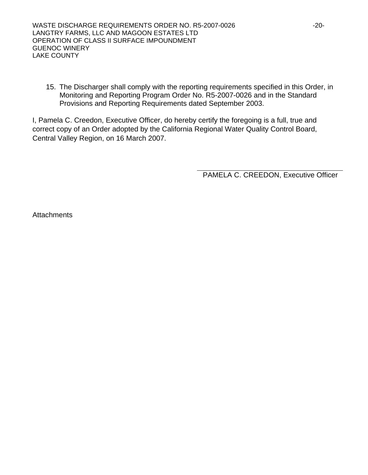15. The Discharger shall comply with the reporting requirements specified in this Order, in Monitoring and Reporting Program Order No. R5-2007-0026 and in the Standard Provisions and Reporting Requirements dated September 2003.

I, Pamela C. Creedon, Executive Officer, do hereby certify the foregoing is a full, true and correct copy of an Order adopted by the California Regional Water Quality Control Board, Central Valley Region, on 16 March 2007.

PAMELA C. CREEDON, Executive Officer

**Attachments**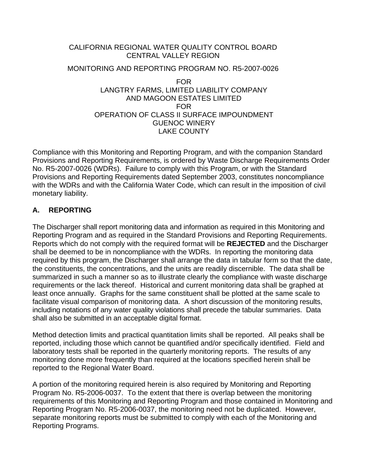# CALIFORNIA REGIONAL WATER QUALITY CONTROL BOARD CENTRAL VALLEY REGION

# MONITORING AND REPORTING PROGRAM NO. R5-2007-0026 FOR LANGTRY FARMS, LIMITED LIABILITY COMPANY AND MAGOON ESTATES LIMITED FOR OPERATION OF CLASS II SURFACE IMPOUNDMENT

GUENOC WINERY LAKE COUNTY

Compliance with this Monitoring and Reporting Program, and with the companion Standard Provisions and Reporting Requirements, is ordered by Waste Discharge Requirements Order No. R5-2007-0026 (WDRs). Failure to comply with this Program, or with the Standard Provisions and Reporting Requirements dated September 2003, constitutes noncompliance with the WDRs and with the California Water Code, which can result in the imposition of civil monetary liability.

# **A. REPORTING**

The Discharger shall report monitoring data and information as required in this Monitoring and Reporting Program and as required in the Standard Provisions and Reporting Requirements. Reports which do not comply with the required format will be **REJECTED** and the Discharger shall be deemed to be in noncompliance with the WDRs. In reporting the monitoring data required by this program, the Discharger shall arrange the data in tabular form so that the date, the constituents, the concentrations, and the units are readily discernible. The data shall be summarized in such a manner so as to illustrate clearly the compliance with waste discharge requirements or the lack thereof. Historical and current monitoring data shall be graphed at least once annually. Graphs for the same constituent shall be plotted at the same scale to facilitate visual comparison of monitoring data. A short discussion of the monitoring results, including notations of any water quality violations shall precede the tabular summaries. Data shall also be submitted in an acceptable digital format.

Method detection limits and practical quantitation limits shall be reported. All peaks shall be reported, including those which cannot be quantified and/or specifically identified. Field and laboratory tests shall be reported in the quarterly monitoring reports. The results of any monitoring done more frequently than required at the locations specified herein shall be reported to the Regional Water Board.

A portion of the monitoring required herein is also required by Monitoring and Reporting Program No. R5-2006-0037. To the extent that there is overlap between the monitoring requirements of this Monitoring and Reporting Program and those contained in Monitoring and Reporting Program No. R5-2006-0037, the monitoring need not be duplicated. However, separate monitoring reports must be submitted to comply with each of the Monitoring and Reporting Programs.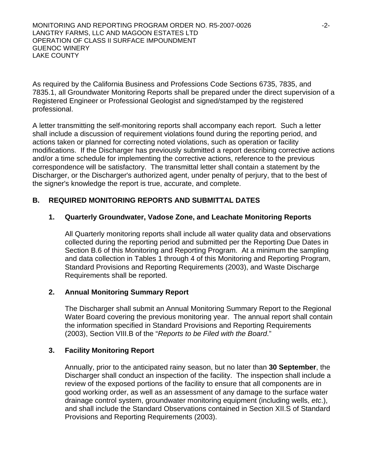As required by the California Business and Professions Code Sections 6735, 7835, and 7835.1, all Groundwater Monitoring Reports shall be prepared under the direct supervision of a Registered Engineer or Professional Geologist and signed/stamped by the registered professional.

A letter transmitting the self-monitoring reports shall accompany each report. Such a letter shall include a discussion of requirement violations found during the reporting period, and actions taken or planned for correcting noted violations, such as operation or facility modifications. If the Discharger has previously submitted a report describing corrective actions and/or a time schedule for implementing the corrective actions, reference to the previous correspondence will be satisfactory. The transmittal letter shall contain a statement by the Discharger, or the Discharger's authorized agent, under penalty of perjury, that to the best of the signer's knowledge the report is true, accurate, and complete.

## **B. REQUIRED MONITORING REPORTS AND SUBMITTAL DATES**

## **1. Quarterly Groundwater, Vadose Zone, and Leachate Monitoring Reports**

All Quarterly monitoring reports shall include all water quality data and observations collected during the reporting period and submitted per the Reporting Due Dates in Section [B.6](#page-22-0) of this Monitoring and Reporting Program. At a minimum the sampling and data collection in Tables 1 through 4 of this Monitoring and Reporting Program, Standard Provisions and Reporting Requirements (2003), and Waste Discharge Requirements shall be reported.

#### **2. Annual Monitoring Summary Report**

The Discharger shall submit an Annual Monitoring Summary Report to the Regional Water Board covering the previous monitoring year. The annual report shall contain the information specified in Standard Provisions and Reporting Requirements (2003), Section VIII.B of the "*Reports to be Filed with the Board*."

#### **3. Facility Monitoring Report**

Annually, prior to the anticipated rainy season, but no later than **30 September**, the Discharger shall conduct an inspection of the facility. The inspection shall include a review of the exposed portions of the facility to ensure that all components are in good working order, as well as an assessment of any damage to the surface water drainage control system, groundwater monitoring equipment (including wells, *etc*.), and shall include the Standard Observations contained in Section XII.S of Standard Provisions and Reporting Requirements (2003).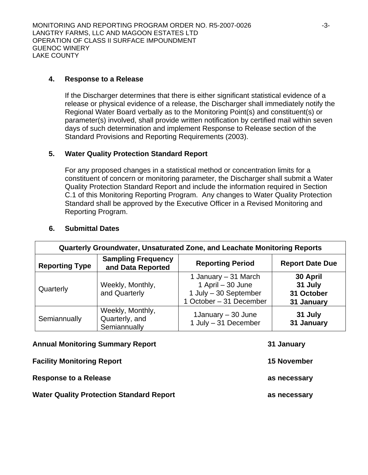### **4. Response to a Release**

If the Discharger determines that there is either significant statistical evidence of a release or physical evidence of a release, the Discharger shall immediately notify the Regional Water Board verbally as to the Monitoring Point(s) and constituent(s) or parameter(s) involved, shall provide written notification by certified mail within seven days of such determination and implement Response to Release section of the Standard Provisions and Reporting Requirements (2003).

### **5. Water Quality Protection Standard Report**

For any proposed changes in a statistical method or concentration limits for a constituent of concern or monitoring parameter, the Discharger shall submit a Water Quality Protection Standard Report and include the information required in Section C.1 of this Monitoring Reporting Program. Any changes to Water Quality Protection Standard shall be approved by the Executive Officer in a Revised Monitoring and Reporting Program.

<span id="page-22-0"></span>

| Quarterly Groundwater, Unsaturated Zone, and Leachate Monitoring Reports |                                                    |                                                                                               |                                                 |
|--------------------------------------------------------------------------|----------------------------------------------------|-----------------------------------------------------------------------------------------------|-------------------------------------------------|
| <b>Reporting Type</b>                                                    | <b>Sampling Frequency</b><br>and Data Reported     | <b>Reporting Period</b>                                                                       | <b>Report Date Due</b>                          |
| Quarterly                                                                | Weekly, Monthly,<br>and Quarterly                  | 1 January – 31 March<br>1 April - 30 June<br>1 July - 30 September<br>1 October - 31 December | 30 April<br>31 July<br>31 October<br>31 January |
| Semiannually                                                             | Weekly, Monthly,<br>Quarterly, and<br>Semiannually | 1January – 30 June<br>1 July - 31 December                                                    | 31 July<br>31 January                           |
|                                                                          | <b>Annual Monitoring Summary Report</b>            |                                                                                               | 31 January                                      |

#### **6. Submittal Dates**

|                                                 | .                  |
|-------------------------------------------------|--------------------|
| <b>Facility Monitoring Report</b>               | <b>15 November</b> |
| <b>Response to a Release</b>                    | as necessary       |
| <b>Water Quality Protection Standard Report</b> | as necessary       |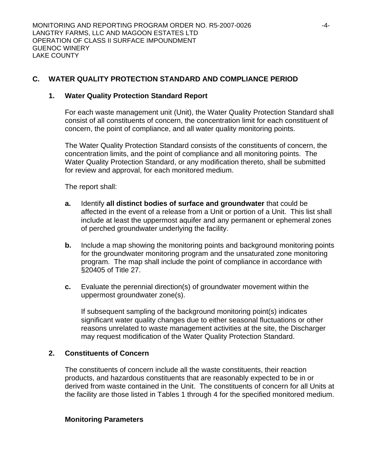# **C. WATER QUALITY PROTECTION STANDARD AND COMPLIANCE PERIOD**

### **1. Water Quality Protection Standard Report**

For each waste management unit (Unit), the Water Quality Protection Standard shall consist of all constituents of concern, the concentration limit for each constituent of concern, the point of compliance, and all water quality monitoring points.

The Water Quality Protection Standard consists of the constituents of concern, the concentration limits, and the point of compliance and all monitoring points. The Water Quality Protection Standard, or any modification thereto, shall be submitted for review and approval, for each monitored medium.

The report shall:

- **a.** Identify **all distinct bodies of surface and groundwater** that could be affected in the event of a release from a Unit or portion of a Unit. This list shall include at least the uppermost aquifer and any permanent or ephemeral zones of perched groundwater underlying the facility.
- **b.** Include a map showing the monitoring points and background monitoring points for the groundwater monitoring program and the unsaturated zone monitoring program. The map shall include the point of compliance in accordance with §20405 of Title 27.
- **c.** Evaluate the perennial direction(s) of groundwater movement within the uppermost groundwater zone(s).

If subsequent sampling of the background monitoring point(s) indicates significant water quality changes due to either seasonal fluctuations or other reasons unrelated to waste management activities at the site, the Discharger may request modification of the Water Quality Protection Standard.

#### **2. Constituents of Concern**

The constituents of concern include all the waste constituents, their reaction products, and hazardous constituents that are reasonably expected to be in or derived from waste contained in the Unit. The constituents of concern for all Units at the facility are those listed in Tables 1 through 4 for the specified monitored medium.

#### **Monitoring Parameters**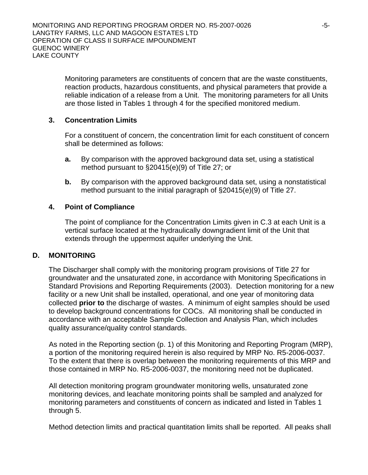Monitoring parameters are constituents of concern that are the waste constituents, reaction products, hazardous constituents, and physical parameters that provide a reliable indication of a release from a Unit. The monitoring parameters for all Units are those listed in Tables 1 through 4 for the specified monitored medium.

## <span id="page-24-0"></span>**3. Concentration Limits**

For a constituent of concern, the concentration limit for each constituent of concern shall be determined as follows:

- **a.** By comparison with the approved background data set, using a statistical method pursuant to §20415(e)(9) of Title 27; or
- **b.** By comparison with the approved background data set, using a nonstatistical method pursuant to the initial paragraph of §20415(e)(9) of Title 27.

## **4. Point of Compliance**

The point of compliance for the Concentration Limits given in [C.3](#page-24-0) at each Unit is a vertical surface located at the hydraulically downgradient limit of the Unit that extends through the uppermost aquifer underlying the Unit.

## **D. MONITORING**

The Discharger shall comply with the monitoring program provisions of Title 27 for groundwater and the unsaturated zone, in accordance with Monitoring Specifications in Standard Provisions and Reporting Requirements (2003). Detection monitoring for a new facility or a new Unit shall be installed, operational, and one year of monitoring data collected **prior to** the discharge of wastes. A minimum of eight samples should be used to develop background concentrations for COCs. All monitoring shall be conducted in accordance with an acceptable Sample Collection and Analysis Plan, which includes quality assurance/quality control standards.

As noted in the Reporting section (p. 1) of this Monitoring and Reporting Program (MRP), a portion of the monitoring required herein is also required by MRP No. R5-2006-0037. To the extent that there is overlap between the monitoring requirements of this MRP and those contained in MRP No. R5-2006-0037, the monitoring need not be duplicated.

All detection monitoring program groundwater monitoring wells, unsaturated zone monitoring devices, and leachate monitoring points shall be sampled and analyzed for monitoring parameters and constituents of concern as indicated and listed in Tables 1 through 5.

Method detection limits and practical quantitation limits shall be reported. All peaks shall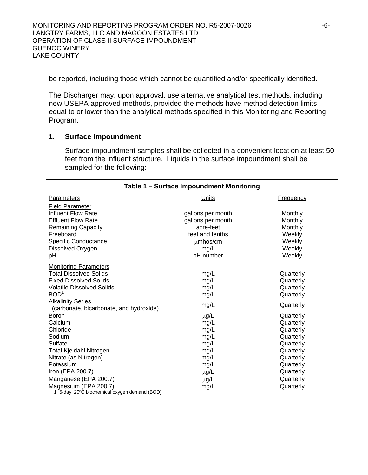be reported, including those which cannot be quantified and/or specifically identified.

The Discharger may, upon approval, use alternative analytical test methods, including new USEPA approved methods, provided the methods have method detection limits equal to or lower than the analytical methods specified in this Monitoring and Reporting Program.

### **1. Surface Impoundment**

Surface impoundment samples shall be collected in a convenient location at least 50 feet from the influent structure. Liquids in the surface impoundment shall be sampled for the following:

| Table 1 - Surface Impoundment Monitoring                            |                   |                  |  |
|---------------------------------------------------------------------|-------------------|------------------|--|
| Parameters                                                          | Units             | <b>Frequency</b> |  |
| <b>Field Parameter</b>                                              |                   |                  |  |
| <b>Influent Flow Rate</b>                                           | gallons per month | Monthly          |  |
| <b>Effluent Flow Rate</b>                                           | gallons per month | Monthly          |  |
| <b>Remaining Capacity</b>                                           | acre-feet         | Monthly          |  |
| Freeboard                                                           | feet and tenths   | Weekly           |  |
| Specific Conductance                                                | $µm$ hos/cm       | Weekly           |  |
| Dissolved Oxygen                                                    | mg/L              | Weekly           |  |
| pH                                                                  | pH number         | Weekly           |  |
| <b>Monitoring Parameters</b>                                        |                   |                  |  |
| <b>Total Dissolved Solids</b>                                       | mg/L              | Quarterly        |  |
| <b>Fixed Dissolved Solids</b>                                       | mg/L              | Quarterly        |  |
| <b>Volatile Dissolved Solids</b>                                    | mg/L              | Quarterly        |  |
| BOD <sup>1</sup>                                                    | mg/L              | Quarterly        |  |
| <b>Alkalinity Series</b><br>(carbonate, bicarbonate, and hydroxide) | mg/L              | Quarterly        |  |
| <b>Boron</b>                                                        | $\mu$ g/L         | Quarterly        |  |
| Calcium                                                             | mg/L              | Quarterly        |  |
| Chloride                                                            | mg/L              | Quarterly        |  |
| Sodium                                                              | mg/L              | Quarterly        |  |
| Sulfate                                                             | mg/L              | Quarterly        |  |
| Total Kjeldahl Nitrogen                                             | mg/L              | Quarterly        |  |
| Nitrate (as Nitrogen)                                               | mg/L              | Quarterly        |  |
| Potassium                                                           | mg/L              | Quarterly        |  |
| Iron (EPA 200.7)                                                    | $\mu$ g/L         | Quarterly        |  |
| Manganese (EPA 200.7)                                               | $\mu$ g/L         | Quarterly        |  |
| Magnesium (EPA 200.7)                                               | mg/L              | Quarterly        |  |

1 5-day, 20ºC biochemical oxygen demand (BOD)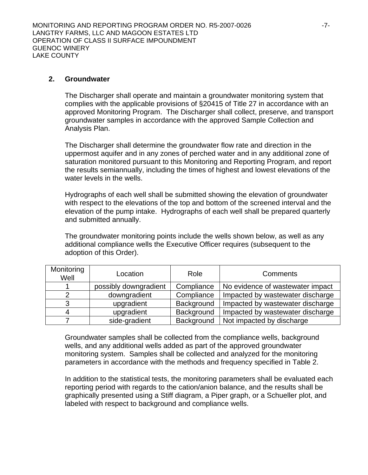### **2. Groundwater**

The Discharger shall operate and maintain a groundwater monitoring system that complies with the applicable provisions of §20415 of Title 27 in accordance with an approved Monitoring Program. The Discharger shall collect, preserve, and transport groundwater samples in accordance with the approved Sample Collection and Analysis Plan.

The Discharger shall determine the groundwater flow rate and direction in the uppermost aquifer and in any zones of perched water and in any additional zone of saturation monitored pursuant to this Monitoring and Reporting Program, and report the results semiannually, including the times of highest and lowest elevations of the water levels in the wells.

Hydrographs of each well shall be submitted showing the elevation of groundwater with respect to the elevations of the top and bottom of the screened interval and the elevation of the pump intake. Hydrographs of each well shall be prepared quarterly and submitted annually.

The groundwater monitoring points include the wells shown below, as well as any additional compliance wells the Executive Officer requires (subsequent to the adoption of this Order).

| Monitoring<br>Well | Location              | Role       | Comments                         |
|--------------------|-----------------------|------------|----------------------------------|
|                    | possibly downgradient | Compliance | No evidence of wastewater impact |
|                    | downgradient          | Compliance | Impacted by wastewater discharge |
|                    | upgradient            | Background | Impacted by wastewater discharge |
|                    | upgradient            | Background | Impacted by wastewater discharge |
|                    | side-gradient         | Background | Not impacted by discharge        |

Groundwater samples shall be collected from the compliance wells, background wells, and any additional wells added as part of the approved groundwater monitoring system. Samples shall be collected and analyzed for the monitoring parameters in accordance with the methods and frequency specified in Table 2.

In addition to the statistical tests, the monitoring parameters shall be evaluated each reporting period with regards to the cation/anion balance, and the results shall be graphically presented using a Stiff diagram, a Piper graph, or a Schueller plot, and labeled with respect to background and compliance wells.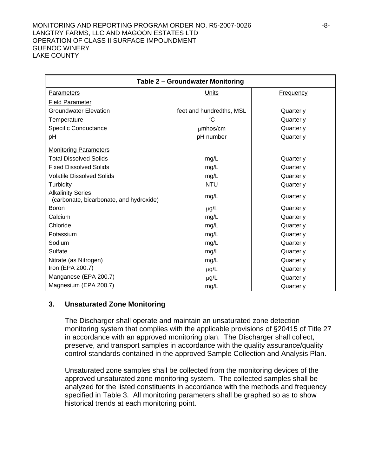#### MONITORING AND REPORTING PROGRAM ORDER NO. R5-2007-0026  $-8-$ LANGTRY FARMS, LLC AND MAGOON ESTATES LTD OPERATION OF CLASS II SURFACE IMPOUNDMENT GUENOC WINERY LAKE COUNTY

| Table 2 - Groundwater Monitoring                                    |                          |                  |  |
|---------------------------------------------------------------------|--------------------------|------------------|--|
| Parameters                                                          | Units                    | <b>Frequency</b> |  |
| <b>Field Parameter</b>                                              |                          |                  |  |
| <b>Groundwater Elevation</b>                                        | feet and hundredths, MSL | Quarterly        |  |
| Temperature                                                         | $^{\circ}$ C             | Quarterly        |  |
| <b>Specific Conductance</b>                                         | umhos/cm                 | Quarterly        |  |
| pH                                                                  | pH number                | Quarterly        |  |
| <b>Monitoring Parameters</b>                                        |                          |                  |  |
| <b>Total Dissolved Solids</b>                                       | mg/L                     | Quarterly        |  |
| <b>Fixed Dissolved Solids</b>                                       | mg/L                     | Quarterly        |  |
| <b>Volatile Dissolved Solids</b>                                    | mg/L                     | Quarterly        |  |
| Turbidity                                                           | <b>NTU</b>               | Quarterly        |  |
| <b>Alkalinity Series</b><br>(carbonate, bicarbonate, and hydroxide) | mg/L                     | Quarterly        |  |
| Boron                                                               | $\mu$ g/L                | Quarterly        |  |
| Calcium                                                             | mg/L                     | Quarterly        |  |
| Chloride                                                            | mg/L                     | Quarterly        |  |
| Potassium                                                           | mg/L                     | Quarterly        |  |
| Sodium                                                              | mg/L                     | Quarterly        |  |
| Sulfate                                                             | mg/L                     | Quarterly        |  |
| Nitrate (as Nitrogen)                                               | mg/L                     | Quarterly        |  |
| Iron (EPA 200.7)                                                    | $\mu$ g/L                | Quarterly        |  |
| Manganese (EPA 200.7)                                               | $\mu$ g/L                | Quarterly        |  |
| Magnesium (EPA 200.7)                                               | mg/L                     | Quarterly        |  |

## **3. Unsaturated Zone Monitoring**

The Discharger shall operate and maintain an unsaturated zone detection monitoring system that complies with the applicable provisions of §20415 of Title 27 in accordance with an approved monitoring plan. The Discharger shall collect, preserve, and transport samples in accordance with the quality assurance/quality control standards contained in the approved Sample Collection and Analysis Plan.

Unsaturated zone samples shall be collected from the monitoring devices of the approved unsaturated zone monitoring system. The collected samples shall be analyzed for the listed constituents in accordance with the methods and frequency specified in Table 3. All monitoring parameters shall be graphed so as to show historical trends at each monitoring point.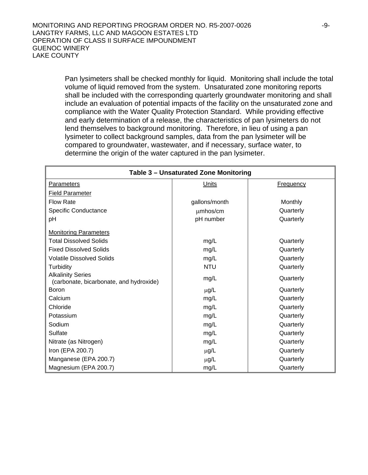Pan lysimeters shall be checked monthly for liquid. Monitoring shall include the total volume of liquid removed from the system. Unsaturated zone monitoring reports shall be included with the corresponding quarterly groundwater monitoring and shall include an evaluation of potential impacts of the facility on the unsaturated zone and compliance with the Water Quality Protection Standard. While providing effective and early determination of a release, the characteristics of pan lysimeters do not lend themselves to background monitoring. Therefore, in lieu of using a pan lysimeter to collect background samples, data from the pan lysimeter will be compared to groundwater, wastewater, and if necessary, surface water, to determine the origin of the water captured in the pan lysimeter.

| Table 3 - Unsaturated Zone Monitoring                               |               |                  |  |
|---------------------------------------------------------------------|---------------|------------------|--|
| Parameters                                                          | <b>Units</b>  | <b>Frequency</b> |  |
| <b>Field Parameter</b>                                              |               |                  |  |
| <b>Flow Rate</b>                                                    | gallons/month | <b>Monthly</b>   |  |
| <b>Specific Conductance</b>                                         | umhos/cm      | Quarterly        |  |
| pH                                                                  | pH number     | Quarterly        |  |
| <b>Monitoring Parameters</b>                                        |               |                  |  |
| <b>Total Dissolved Solids</b>                                       | mg/L          | Quarterly        |  |
| <b>Fixed Dissolved Solids</b>                                       | mg/L          | Quarterly        |  |
| <b>Volatile Dissolved Solids</b>                                    | mg/L          | Quarterly        |  |
| Turbidity                                                           | <b>NTU</b>    | Quarterly        |  |
| <b>Alkalinity Series</b><br>(carbonate, bicarbonate, and hydroxide) | mg/L          | Quarterly        |  |
| <b>Boron</b>                                                        | $\mu$ g/L     | Quarterly        |  |
| Calcium                                                             | mg/L          | Quarterly        |  |
| Chloride                                                            | mg/L          | Quarterly        |  |
| Potassium                                                           | mg/L          | Quarterly        |  |
| Sodium                                                              | mg/L          | Quarterly        |  |
| Sulfate                                                             | mg/L          | Quarterly        |  |
| Nitrate (as Nitrogen)                                               | mg/L          | Quarterly        |  |
| Iron (EPA 200.7)                                                    | $\mu$ g/L     | Quarterly        |  |
| Manganese (EPA 200.7)                                               | $\mu$ g/L     | Quarterly        |  |
| Magnesium (EPA 200.7)                                               | mg/L          | Quarterly        |  |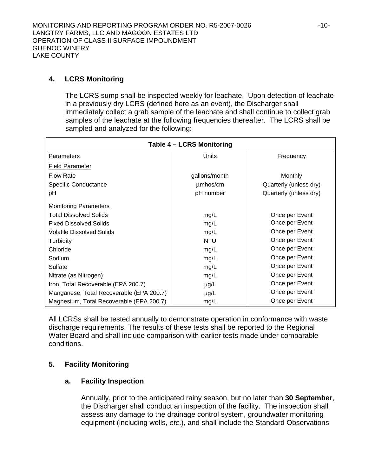# **4. LCRS Monitoring**

The LCRS sump shall be inspected weekly for leachate. Upon detection of leachate in a previously dry LCRS (defined here as an event), the Discharger shall immediately collect a grab sample of the leachate and shall continue to collect grab samples of the leachate at the following frequencies thereafter. The LCRS shall be sampled and analyzed for the following:

| Table 4 - LCRS Monitoring                |               |                        |  |
|------------------------------------------|---------------|------------------------|--|
| Parameters                               | Units         | <b>Frequency</b>       |  |
| <b>Field Parameter</b>                   |               |                        |  |
| <b>Flow Rate</b>                         | gallons/month | <b>Monthly</b>         |  |
| Specific Conductance                     | umhos/cm      | Quarterly (unless dry) |  |
| pH                                       | pH number     | Quarterly (unless dry) |  |
| <b>Monitoring Parameters</b>             |               |                        |  |
| <b>Total Dissolved Solids</b>            | mg/L          | Once per Event         |  |
| <b>Fixed Dissolved Solids</b>            | mg/L          | Once per Event         |  |
| <b>Volatile Dissolved Solids</b>         | mg/L          | Once per Event         |  |
| <b>Turbidity</b>                         | <b>NTU</b>    | Once per Event         |  |
| Chloride                                 | mg/L          | Once per Event         |  |
| Sodium                                   | mg/L          | Once per Event         |  |
| Sulfate                                  | mg/L          | Once per Event         |  |
| Nitrate (as Nitrogen)                    | mg/L          | Once per Event         |  |
| Iron, Total Recoverable (EPA 200.7)      | $\mu$ g/L     | Once per Event         |  |
| Manganese, Total Recoverable (EPA 200.7) | $\mu$ g/L     | Once per Event         |  |
| Magnesium, Total Recoverable (EPA 200.7) | mg/L          | Once per Event         |  |

All LCRSs shall be tested annually to demonstrate operation in conformance with waste discharge requirements. The results of these tests shall be reported to the Regional Water Board and shall include comparison with earlier tests made under comparable conditions.

# **5. Facility Monitoring**

## **a. Facility Inspection**

Annually, prior to the anticipated rainy season, but no later than **30 September**, the Discharger shall conduct an inspection of the facility. The inspection shall assess any damage to the drainage control system, groundwater monitoring equipment (including wells, *etc*.), and shall include the Standard Observations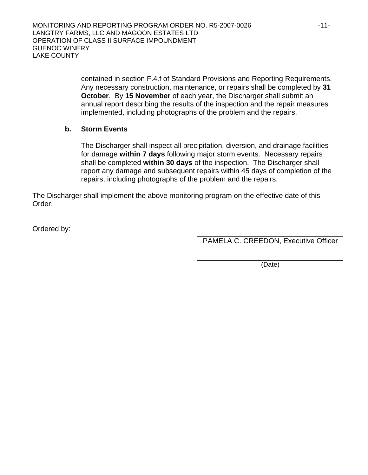contained in section F.4.f of Standard Provisions and Reporting Requirements. Any necessary construction, maintenance, or repairs shall be completed by **31 October**. By **15 November** of each year, the Discharger shall submit an annual report describing the results of the inspection and the repair measures implemented, including photographs of the problem and the repairs.

## **b. Storm Events**

The Discharger shall inspect all precipitation, diversion, and drainage facilities for damage **within 7 days** following major storm events. Necessary repairs shall be completed **within 30 days** of the inspection. The Discharger shall report any damage and subsequent repairs within 45 days of completion of the repairs, including photographs of the problem and the repairs.

The Discharger shall implement the above monitoring program on the effective date of this Order.

Ordered by:

PAMELA C. CREEDON, Executive Officer

(Date)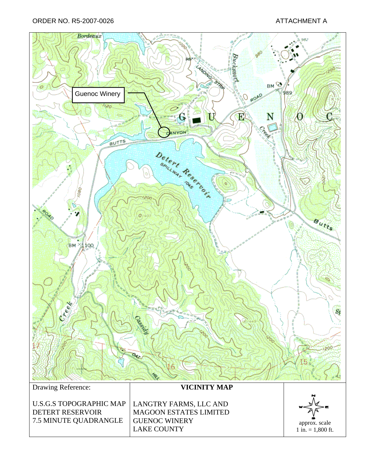ORDER NO. R5-2007-0026 ATTACHMENT A

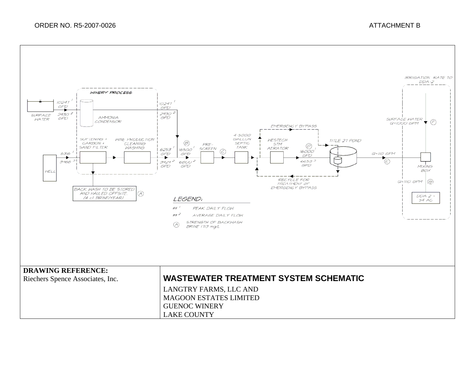## ORDER NO. R5-2007-0026 ATTACHMENT B

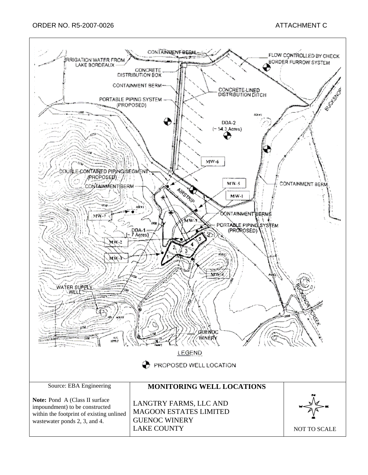#### ORDER NO. R5-2007-0026 ATTACHMENT C

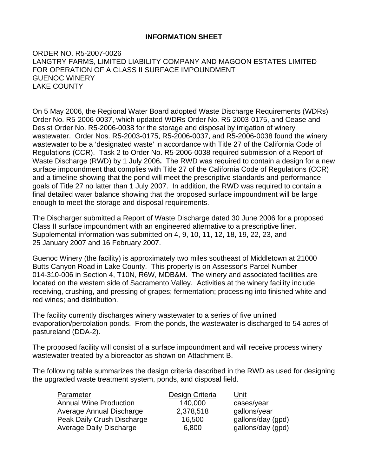## **INFORMATION SHEET**

ORDER NO. R5-2007-0026 LANGTRY FARMS, LIMITED LIABILITY COMPANY AND MAGOON ESTATES LIMITED FOR OPERATION OF A CLASS II SURFACE IMPOUNDMENT GUENOC WINERY LAKE COUNTY

On 5 May 2006, the Regional Water Board adopted Waste Discharge Requirements (WDRs) Order No. R5-2006-0037, which updated WDRs Order No. R5-2003-0175, and Cease and Desist Order No. R5-2006-0038 for the storage and disposal by irrigation of winery wastewater. Order Nos. R5-2003-0175, R5-2006-0037, and R5-2006-0038 found the winery wastewater to be a 'designated waste' in accordance with Title 27 of the California Code of Regulations (CCR). Task 2 to Order No. R5-2006-0038 required submission of a Report of Waste Discharge (RWD) by 1 July 2006**.** The RWD was required to contain a design for a new surface impoundment that complies with Title 27 of the California Code of Regulations (CCR) and a timeline showing that the pond will meet the prescriptive standards and performance goals of Title 27 no latter than 1 July 2007. In addition, the RWD was required to contain a final detailed water balance showing that the proposed surface impoundment will be large enough to meet the storage and disposal requirements.

The Discharger submitted a Report of Waste Discharge dated 30 June 2006 for a proposed Class II surface impoundment with an engineered alternative to a prescriptive liner. Supplemental information was submitted on 4, 9, 10, 11, 12, 18, 19, 22, 23, and 25 January 2007 and 16 February 2007.

Guenoc Winery (the facility) is approximately two miles southeast of Middletown at 21000 Butts Canyon Road in Lake County. This property is on Assessor's Parcel Number 014-310-006 in Section 4, T10N, R6W, MDB&M. The winery and associated facilities are located on the western side of Sacramento Valley. Activities at the winery facility include receiving, crushing, and pressing of grapes; fermentation; processing into finished white and red wines; and distribution.

The facility currently discharges winery wastewater to a series of five unlined evaporation/percolation ponds. From the ponds, the wastewater is discharged to 54 acres of pastureland (DDA-2).

The proposed facility will consist of a surface impoundment and will receive process winery wastewater treated by a bioreactor as shown on Attachment B.

The following table summarizes the design criteria described in the RWD as used for designing the upgraded waste treatment system, ponds, and disposal field.

| Parameter                     | Design Criteria | Unit              |
|-------------------------------|-----------------|-------------------|
| <b>Annual Wine Production</b> | 140,000         | cases/year        |
| Average Annual Discharge      | 2,378,518       | gallons/year      |
| Peak Daily Crush Discharge    | 16,500          | gallons/day (gpd) |
| Average Daily Discharge       | 6,800           | gallons/day (gpd) |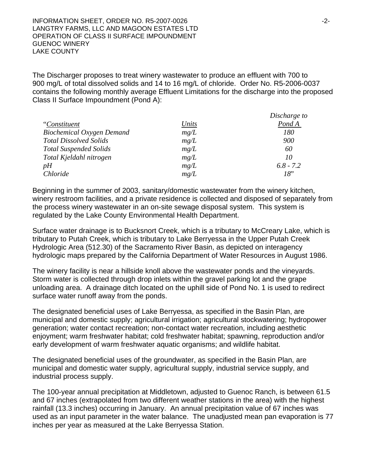INFORMATION SHEET, ORDER NO. R5-2007-0026 **and the contract of the CAST of the CAST**  $-2$ -LANGTRY FARMS, LLC AND MAGOON ESTATES LTD OPERATION OF CLASS II SURFACE IMPOUNDMENT GUENOC WINERY LAKE COUNTY

The Discharger proposes to treat winery wastewater to produce an effluent with 700 to 900 mg/L of total dissolved solids and 14 to 16 mg/L of chloride. Order No. R5-2006-0037 contains the following monthly average Effluent Limitations for the discharge into the proposed Class II Surface Impoundment (Pond A):

|                                  |       | Discharge to |
|----------------------------------|-------|--------------|
| "Constituent                     | Units | Pond A       |
| <b>Biochemical Oxygen Demand</b> | mg/L  | 180          |
| <b>Total Dissolved Solids</b>    | mg/L  | 900          |
| <b>Total Suspended Solids</b>    | mg/L  | 60           |
| Total Kjeldahl nitrogen          | mg/L  | 10           |
| pH                               | mg/L  | $6.8 - 7.2$  |
| <i>Chloride</i>                  | mg/L  | 18"          |

Beginning in the summer of 2003, sanitary/domestic wastewater from the winery kitchen, winery restroom facilities, and a private residence is collected and disposed of separately from the process winery wastewater in an on-site sewage disposal system. This system is regulated by the Lake County Environmental Health Department.

Surface water drainage is to Bucksnort Creek, which is a tributary to McCreary Lake, which is tributary to Putah Creek, which is tributary to Lake Berryessa in the Upper Putah Creek Hydrologic Area (512.30) of the Sacramento River Basin, as depicted on interagency hydrologic maps prepared by the California Department of Water Resources in August 1986.

The winery facility is near a hillside knoll above the wastewater ponds and the vineyards. Storm water is collected through drop inlets within the gravel parking lot and the grape unloading area. A drainage ditch located on the uphill side of Pond No. 1 is used to redirect surface water runoff away from the ponds.

The designated beneficial uses of Lake Berryessa, as specified in the Basin Plan, are municipal and domestic supply; agricultural irrigation; agricultural stockwatering; hydropower generation; water contact recreation; non-contact water recreation, including aesthetic enjoyment; warm freshwater habitat; cold freshwater habitat; spawning, reproduction and/or early development of warm freshwater aquatic organisms; and wildlife habitat.

The designated beneficial uses of the groundwater, as specified in the Basin Plan, are municipal and domestic water supply, agricultural supply, industrial service supply, and industrial process supply.

The 100-year annual precipitation at Middletown, adjusted to Guenoc Ranch, is between 61.5 and 67 inches (extrapolated from two different weather stations in the area) with the highest rainfall (13.3 inches) occurring in January. An annual precipitation value of 67 inches was used as an input parameter in the water balance. The unadjusted mean pan evaporation is 77 inches per year as measured at the Lake Berryessa Station.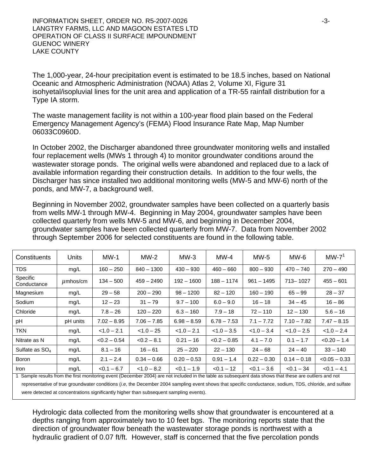INFORMATION SHEET, ORDER NO. R5-2007-0026 -3- LANGTRY FARMS, LLC AND MAGOON ESTATES LTD OPERATION OF CLASS II SURFACE IMPOUNDMENT GUENOC WINERY LAKE COUNTY

The 1,000-year, 24-hour precipitation event is estimated to be 18.5 inches, based on National Oceanic and Atmospheric Administration (NOAA) Atlas 2, Volume XI, Figure 31 isohyetal/isopluvial lines for the unit area and application of a TR-55 rainfall distribution for a Type IA storm.

The waste management facility is not within a 100-year flood plain based on the Federal Emergency Management Agency's (FEMA) Flood Insurance Rate Map, Map Number 06033C0960D.

In October 2002, the Discharger abandoned three groundwater monitoring wells and installed four replacement wells (MWs 1 through 4) to monitor groundwater conditions around the wastewater storage ponds. The original wells were abandoned and replaced due to a lack of available information regarding their construction details. In addition to the four wells, the Discharger has since installed two additional monitoring wells (MW-5 and MW-6) north of the ponds, and MW-7, a background well.

Beginning in November 2002, groundwater samples have been collected on a quarterly basis from wells MW-1 through MW-4. Beginning in May 2004, groundwater samples have been collected quarterly from wells MW-5 and MW-6, and beginning in December 2004, groundwater samples have been collected quarterly from MW-7. Data from November 2002 through September 2006 for selected constituents are found in the following table.

| Constituents                                                                                                                                            | Units         | $MW-1$         | $MW-2$        | $MW-3$        | $MW-4$         | $MW-5$        | $MW-6$        | $MW-71$         |
|---------------------------------------------------------------------------------------------------------------------------------------------------------|---------------|----------------|---------------|---------------|----------------|---------------|---------------|-----------------|
| <b>TDS</b>                                                                                                                                              | mg/L          | $160 - 250$    | $840 - 1300$  | $430 - 930$   | $460 - 660$    | $800 - 930$   | $470 - 740$   | $270 - 490$     |
| Specific<br>Conductance                                                                                                                                 | $\mu$ mhos/cm | $134 - 500$    | $459 - 2490$  | $192 - 1600$  | $188 - 1174$   | $961 - 1495$  | 713-1027      | $455 - 601$     |
| Magnesium                                                                                                                                               | mg/L          | $29 - 58$      | $200 - 290$   | $98 - 1200$   | $82 - 120$     | $160 - 190$   | $65 - 99$     | $28 - 37$       |
| Sodium                                                                                                                                                  | mg/L          | $12 - 23$      | $31 - 79$     | $9.7 - 100$   | $6.0 - 9.0$    | $16 - 18$     | $34 - 45$     | $16 - 86$       |
| Chloride                                                                                                                                                | mg/L          | $7.8 - 26$     | $120 - 220$   | $6.3 - 160$   | $7.9 - 18$     | $72 - 110$    | $12 - 130$    | $5.6 - 16$      |
| pH                                                                                                                                                      | pH units      | $7.02 - 8.95$  | $7.06 - 7.85$ | $6.98 - 8.59$ | $6.78 - 7.53$  | $7.1 - 7.72$  | $7.10 - 7.82$ | $7.47 - 8.15$   |
| <b>TKN</b>                                                                                                                                              | mg/L          | $< 1.0 - 2.1$  | $< 1.0 - 25$  | $< 1.0 - 2.1$ | $< 1.0 - 3.5$  | $< 1.0 - 3.4$ | $< 1.0 - 2.5$ | $< 1.0 - 2.4$   |
| Nitrate as N                                                                                                                                            | mg/L          | $< 0.2 - 0.54$ | $< 0.2 - 8.1$ | $0.21 - 16$   | $< 0.2 - 0.85$ | $4.1 - 7.0$   | $0.1 - 1.7$   | $< 0.20 - 1.4$  |
| Sulfate as $SO4$                                                                                                                                        | mg/L          | $8.1 - 16$     | $16 - 61$     | $25 - 220$    | $22 - 130$     | $24 - 68$     | $24 - 40$     | $33 - 140$      |
| <b>Boron</b>                                                                                                                                            | mg/L          | $2.1 - 2.4$    | $0.34 - 0.66$ | $0.20 - 0.53$ | $0.91 - 1.4$   | $0.22 - 0.30$ | $0.14 - 0.18$ | $< 0.05 - 0.33$ |
| <b>Iron</b>                                                                                                                                             | mq/L          | $< 0.1 - 6.7$  | $< 1.0 - 8.2$ | $< 0.1 - 1.9$ | $< 0.1 - 12$   | $< 0.1 - 3.6$ | $< 0.1 - 34$  | $< 0.1 - 4.1$   |
| 1 Sample results from the first monitoring event (December 2004) are not included in the table as subsequent data shows that these are outliers and not |               |                |               |               |                |               |               |                 |

representative of true groundwater conditions (*i.e*, the December 2004 sampling event shows that specific conductance, sodium, TDS, chloride, and sulfate were detected at concentrations significantly higher than subsequent sampling events).

Hydrologic data collected from the monitoring wells show that groundwater is encountered at a depths ranging from approximately two to 10 feet bgs. The monitoring reports state that the direction of groundwater flow beneath the wastewater storage ponds is northwest with a hydraulic gradient of 0.07 ft/ft. However, staff is concerned that the five percolation ponds